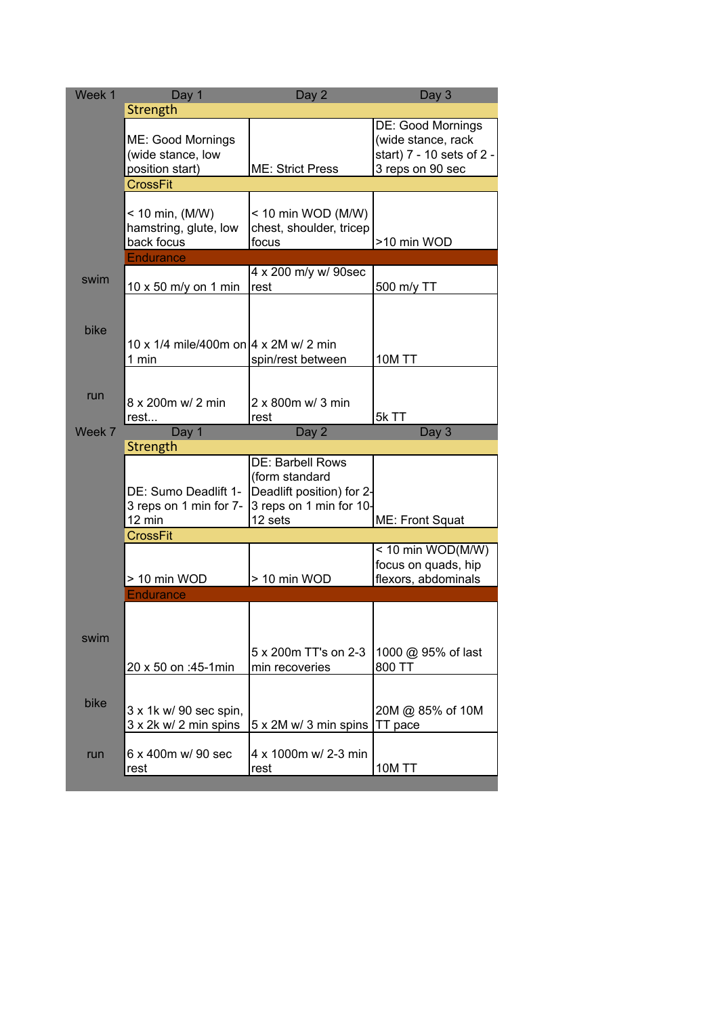| Week 1 | Day 1                                                     | Day 2                                                                                                 | Day 3                                                                                    |
|--------|-----------------------------------------------------------|-------------------------------------------------------------------------------------------------------|------------------------------------------------------------------------------------------|
|        | Strength                                                  |                                                                                                       |                                                                                          |
|        | ME: Good Mornings<br>(wide stance, low<br>position start) | <b>ME: Strict Press</b>                                                                               | DE: Good Mornings<br>(wide stance, rack<br>start) 7 - 10 sets of 2 -<br>3 reps on 90 sec |
|        | <b>CrossFit</b>                                           |                                                                                                       |                                                                                          |
|        |                                                           |                                                                                                       |                                                                                          |
|        | $< 10$ min, (M/W)<br>hamstring, glute, low<br>back focus  | < 10 min WOD (M/W)<br>chest, shoulder, tricep<br>focus                                                | >10 min WOD                                                                              |
|        | <b>Endurance</b>                                          |                                                                                                       |                                                                                          |
| swim   | 10 x 50 m/y on 1 min                                      | 4 x 200 m/y w/ 90sec<br>rest                                                                          | 500 m/y TT                                                                               |
|        |                                                           |                                                                                                       |                                                                                          |
| bike   | 10 x 1/4 mile/400m on 4 x 2M w/ 2 min                     |                                                                                                       |                                                                                          |
|        | 1 min                                                     | spin/rest between                                                                                     | 10M TT                                                                                   |
| run    | 8 x 200m w/ 2 min                                         | 2 x 800m w/ 3 min                                                                                     |                                                                                          |
|        | rest                                                      | rest                                                                                                  | 5k TT                                                                                    |
| Week 7 | Day 1                                                     | Day 2                                                                                                 | Day 3                                                                                    |
|        | Strength                                                  |                                                                                                       |                                                                                          |
|        | DE: Sumo Deadlift 1-<br>3 reps on 1 min for 7-<br>12 min  | DE: Barbell Rows<br>(form standard<br>Deadlift position) for 2-<br>3 reps on 1 min for 10-<br>12 sets | ME: Front Squat                                                                          |
|        | <b>CrossFit</b>                                           |                                                                                                       |                                                                                          |
|        | > 10 min WOD                                              | > 10 min WOD                                                                                          | < 10 min WOD(M/W)<br>focus on quads, hip<br>flexors, abdominals                          |
|        | <b>Endurance</b>                                          |                                                                                                       |                                                                                          |
| swim   |                                                           |                                                                                                       |                                                                                          |
|        | 20 x 50 on :45-1min                                       | 5 x 200m TT's on 2-3<br>min recoveries                                                                | 1000 @ 95% of last<br>800 TT                                                             |
| bike   | 3 x 1k w/ 90 sec spin,<br>3 x 2k w/ 2 min spins           | 5 x 2M w/ 3 min spins                                                                                 | 20M @ 85% of 10M<br>TT pace                                                              |
| run    | 6 x 400m w/ 90 sec<br>rest                                | 4 x 1000m w/ 2-3 min<br>rest                                                                          | <b>10M TT</b>                                                                            |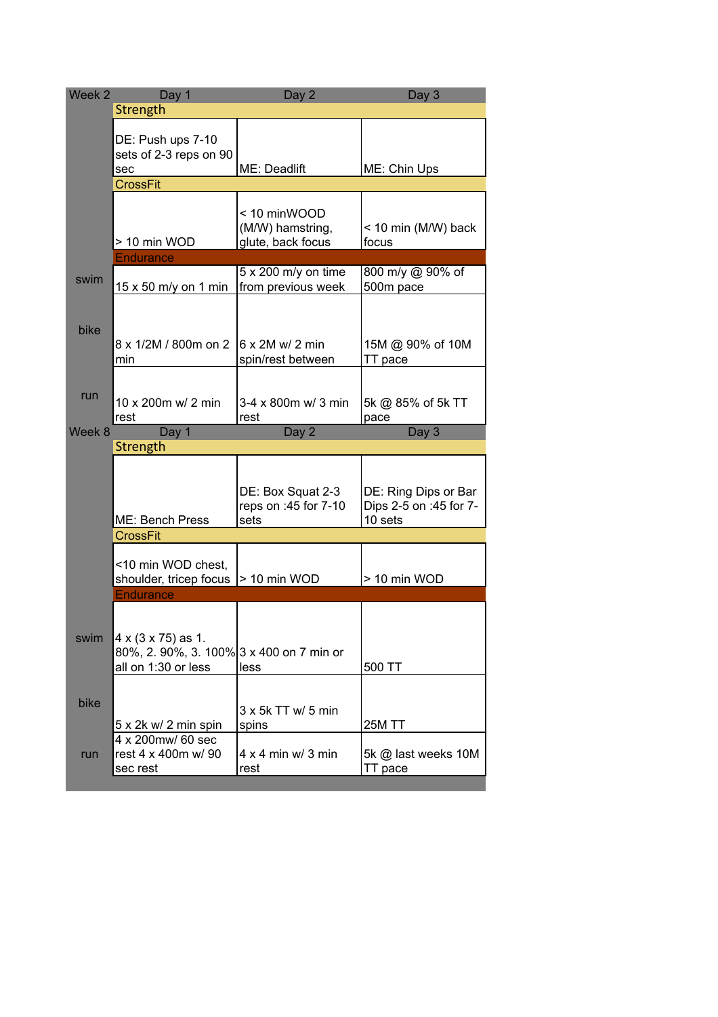| Week <sub>2</sub> | Day 1                                                                                 | Day 2                                                 | Day 3                                                     |
|-------------------|---------------------------------------------------------------------------------------|-------------------------------------------------------|-----------------------------------------------------------|
|                   | Strength                                                                              |                                                       |                                                           |
|                   | DE: Push ups 7-10<br>sets of 2-3 reps on 90<br>sec                                    | ME: Deadlift                                          | ME: Chin Ups                                              |
|                   | <b>CrossFit</b>                                                                       |                                                       |                                                           |
|                   | > 10 min WOD                                                                          | < 10 minWOOD<br>(M/W) hamstring,<br>glute, back focus | < 10 min (M/W) back<br>focus                              |
|                   | <b>Endurance</b>                                                                      |                                                       |                                                           |
| swim              | 15 x 50 m/y on 1 min                                                                  | $5 \times 200$ m/y on time<br>from previous week      | 800 m/y @ 90% of<br>500m pace                             |
| bike              | 8 x 1/2M / 800m on 2<br>min                                                           | $6 \times 2M$ w/ 2 min<br>spin/rest between           | 15M @ 90% of 10M<br>TT pace                               |
| run               | 10 x 200m w/ 2 min                                                                    | $3-4 \times 800$ m w/ 3 min                           | 5k @ 85% of 5k TT                                         |
|                   | rest                                                                                  | rest                                                  | pace                                                      |
| Week 8            | Day 1                                                                                 | Day 2                                                 | Day 3                                                     |
|                   | Strength                                                                              |                                                       |                                                           |
|                   | ME: Bench Press                                                                       | DE: Box Squat 2-3<br>reps on :45 for 7-10<br>sets     | DE: Ring Dips or Bar<br>Dips 2-5 on :45 for 7-<br>10 sets |
|                   | <b>CrossFit</b>                                                                       |                                                       |                                                           |
|                   | <10 min WOD chest,<br>shoulder, tricep focus<br><b>Endurance</b>                      | > 10 min WOD                                          | > 10 min WOD                                              |
|                   |                                                                                       |                                                       |                                                           |
| swim              | 4 x (3 x 75) as 1.<br>80%, 2. 90%, 3. 100% 3 x 400 on 7 min or<br>all on 1:30 or less | less                                                  | 500 TT                                                    |
| bike              | 5 x 2k w/ 2 min spin                                                                  | $3 \times 5k$ TT w/ 5 min<br>spins                    | <b>25M TT</b>                                             |
| run               | 4 x 200mw/ 60 sec<br>rest 4 x 400m w/90<br>sec rest                                   | $4 \times 4$ min w/ 3 min<br>rest                     | 5k @ last weeks 10M<br>TT pace                            |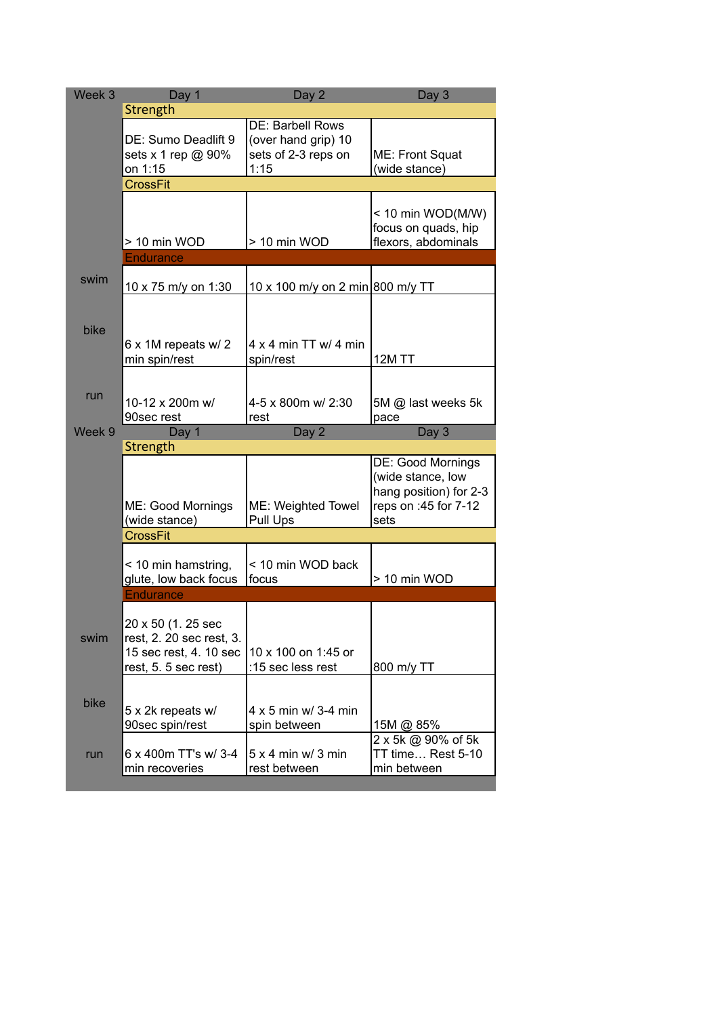| Week 3 | Day 1                                                                                            | Day 2                                                                  | Day 3                                                                                            |
|--------|--------------------------------------------------------------------------------------------------|------------------------------------------------------------------------|--------------------------------------------------------------------------------------------------|
|        | Strength                                                                                         |                                                                        |                                                                                                  |
|        | DE: Sumo Deadlift 9<br>sets x 1 rep @ 90%<br>on 1:15                                             | DE: Barbell Rows<br>(over hand grip) 10<br>sets of 2-3 reps on<br>1:15 | ME: Front Squat<br>(wide stance)                                                                 |
|        | <b>CrossFit</b>                                                                                  |                                                                        |                                                                                                  |
|        | > 10 min WOD                                                                                     | > 10 min WOD                                                           | $<$ 10 min WOD(M/W)<br>focus on quads, hip<br>flexors, abdominals                                |
|        | <b>Endurance</b>                                                                                 |                                                                        |                                                                                                  |
| swim   | 10 x 75 m/y on 1:30                                                                              | 10 x 100 m/y on 2 min 800 m/y TT                                       |                                                                                                  |
| bike   | 6 x 1M repeats w/ 2<br>min spin/rest                                                             | $4 \times 4$ min TT w/ 4 min<br>spin/rest                              | <b>12M TT</b>                                                                                    |
| run    | 10-12 x 200m w/                                                                                  | 4-5 x 800m w/ 2:30                                                     | 5M @ last weeks 5k                                                                               |
|        | 90sec rest                                                                                       | rest                                                                   | pace                                                                                             |
| Week 9 | Day 1                                                                                            | Day 2                                                                  | Day 3                                                                                            |
|        | Strength                                                                                         |                                                                        |                                                                                                  |
|        | ME: Good Mornings<br>(wide stance)                                                               | ME: Weighted Towel<br>Pull Ups                                         | DE: Good Mornings<br>(wide stance, low<br>hang position) for 2-3<br>reps on :45 for 7-12<br>sets |
|        | <b>CrossFit</b>                                                                                  |                                                                        |                                                                                                  |
|        | < 10 min hamstring,<br>glute, low back focus                                                     | < 10 min WOD back<br>focus                                             | > 10 min WOD                                                                                     |
|        | <b>Endurance</b>                                                                                 |                                                                        |                                                                                                  |
| swim   | 20 x 50 (1. 25 sec<br>rest, 2. 20 sec rest, 3.<br>15 sec rest, 4. 10 sec<br>rest, 5. 5 sec rest) | 10 x 100 on 1:45 or<br>:15 sec less rest                               | 800 m/y TT                                                                                       |
| bike   | 5 x 2k repeats w/<br>90sec spin/rest                                                             | 4 x 5 min w/ 3-4 min<br>spin between                                   | 15M @ 85%                                                                                        |
| run    | 6 x 400m TT's w/ 3-4<br>min recoveries                                                           | $5 \times 4$ min w/ 3 min<br>rest between                              | 2 x 5k @ 90% of 5k<br>TT time Rest 5-10<br>min between                                           |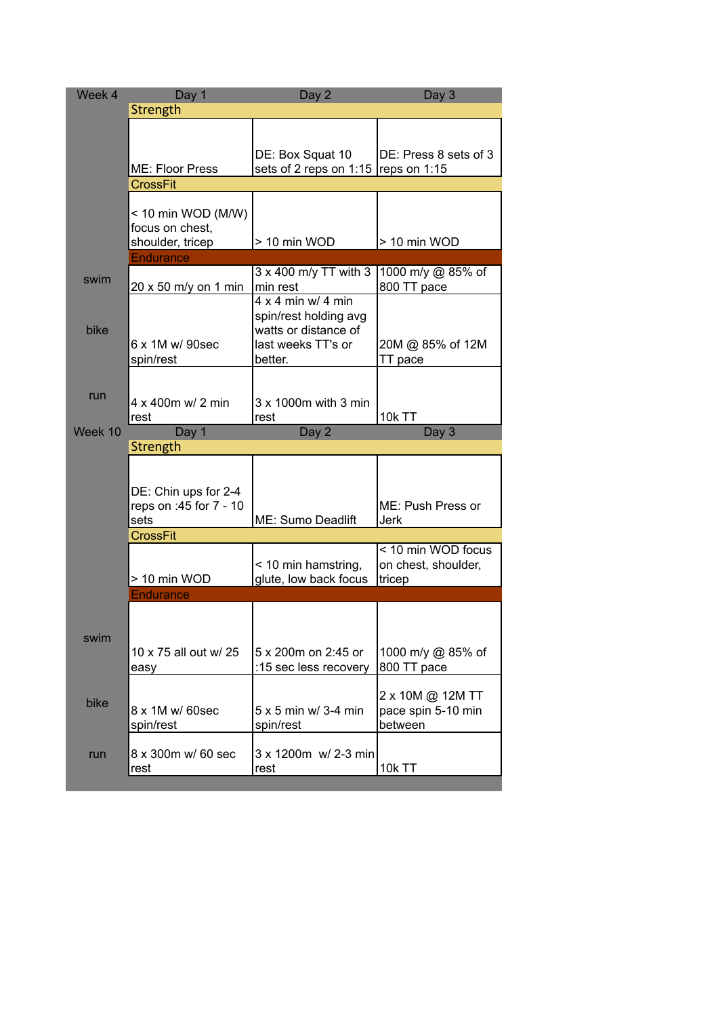| Week 4  | Day 1                  | Day 2                                  | Day 3                         |
|---------|------------------------|----------------------------------------|-------------------------------|
|         | Strength               |                                        |                               |
|         |                        |                                        |                               |
|         |                        |                                        |                               |
|         |                        | DE: Box Squat 10                       | DE: Press 8 sets of 3         |
|         | ME: Floor Press        | sets of 2 reps on 1:15   reps on 1:15  |                               |
|         | <b>CrossFit</b>        |                                        |                               |
|         | < 10 min WOD (M/W)     |                                        |                               |
|         | focus on chest,        |                                        |                               |
|         | shoulder, tricep       | > 10 min WOD                           | > 10 min WOD                  |
|         | <b>Endurance</b>       |                                        |                               |
|         |                        | 3 x 400 m/y TT with 3                  | 1000 m/y @ 85% of             |
| swim    | 20 x 50 m/y on 1 min   | min rest                               | 800 TT pace                   |
|         |                        | $4 \times 4$ min w/ 4 min              |                               |
|         |                        | spin/rest holding avg                  |                               |
| bike    |                        | watts or distance of                   |                               |
|         | 6 x 1M w/ 90sec        | last weeks TT's or                     | 20M @ 85% of 12M              |
|         | spin/rest              | better.                                | TT pace                       |
|         |                        |                                        |                               |
| run     | 4 x 400m w/ 2 min      | $3 \times 1000$ m with $3 \text{ min}$ |                               |
|         | rest                   | rest                                   | <b>10k TT</b>                 |
| Week 10 | Day 1                  | Day 2                                  | Day 3                         |
|         | Strength               |                                        |                               |
|         |                        |                                        |                               |
|         |                        |                                        |                               |
|         | DE: Chin ups for 2-4   |                                        |                               |
|         | reps on :45 for 7 - 10 |                                        | ME: Push Press or             |
|         | sets                   | ME: Sumo Deadlift                      | <b>Jerk</b>                   |
|         | <b>CrossFit</b>        |                                        |                               |
|         |                        |                                        | < 10 min WOD focus            |
|         | > 10 min WOD           | < 10 min hamstring,                    | on chest, shoulder,<br>tricep |
|         | <b>Endurance</b>       | glute, low back focus                  |                               |
|         |                        |                                        |                               |
|         |                        |                                        |                               |
| swim    |                        |                                        |                               |
|         | 10 x 75 all out w/ 25  | 5 x 200m on 2:45 or                    | 1000 m/y @ 85% of             |
|         | easy                   | :15 sec less recovery                  | 800 TT pace                   |
|         |                        |                                        |                               |
| bike    |                        |                                        | 2 x 10M @ 12M TT              |
|         | 8 x 1M w/ 60sec        | $5 \times 5$ min w/ 3-4 min            | pace spin 5-10 min            |
|         | spin/rest              | spin/rest                              | between                       |
|         |                        |                                        |                               |
| run     | 8 x 300m w/ 60 sec     | 3 x 1200m w/ 2-3 min                   |                               |
|         | rest                   | rest                                   | 10k TT                        |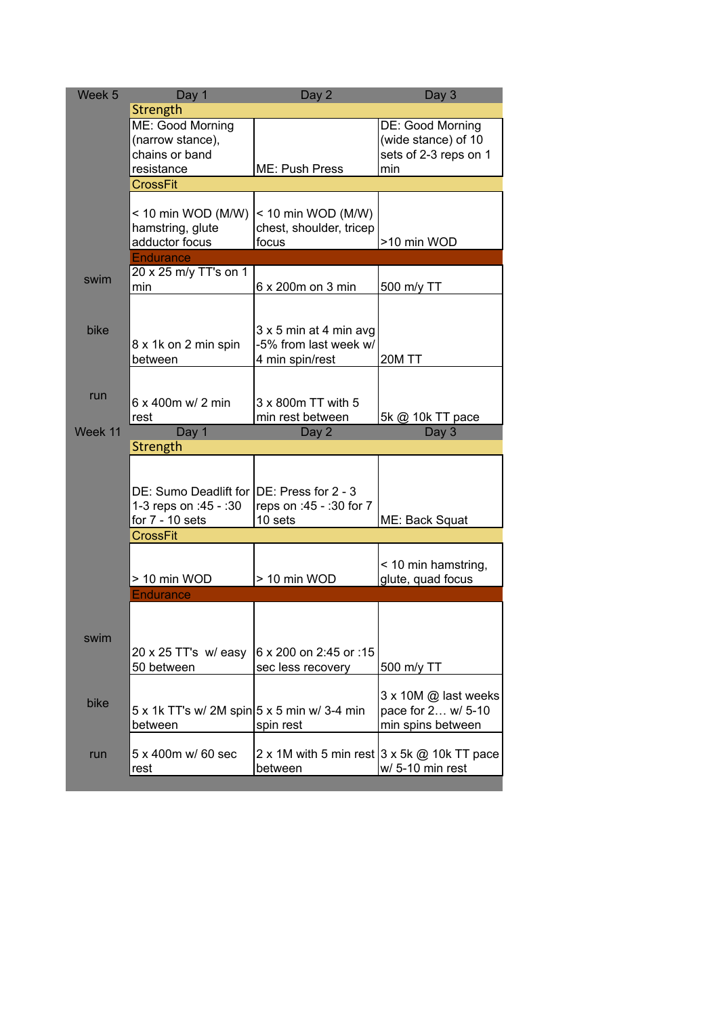| Week <sub>5</sub> | Day 1                                       | Day 2                                                   | Day 3                                    |
|-------------------|---------------------------------------------|---------------------------------------------------------|------------------------------------------|
|                   | Strength                                    |                                                         |                                          |
|                   | ME: Good Morning                            |                                                         | DE: Good Morning                         |
|                   | (narrow stance),                            |                                                         | (wide stance) of 10                      |
|                   | chains or band                              |                                                         | sets of 2-3 reps on 1                    |
|                   | resistance                                  | ME: Push Press                                          | min                                      |
|                   | <b>CrossFit</b>                             |                                                         |                                          |
|                   | < 10 min WOD (M/W)                          | < 10 min WOD (M/W)                                      |                                          |
|                   | hamstring, glute                            | chest, shoulder, tricep                                 |                                          |
|                   | adductor focus                              | focus                                                   | >10 min WOD                              |
|                   | <b>Endurance</b>                            |                                                         |                                          |
|                   | 20 x 25 m/y TT's on 1                       |                                                         |                                          |
| swim              | min                                         | 6 x 200m on 3 min                                       | 500 m/y TT                               |
|                   |                                             |                                                         |                                          |
|                   |                                             |                                                         |                                          |
| bike              |                                             | $3 \times 5$ min at 4 min avg                           |                                          |
|                   | 8 x 1k on 2 min spin                        | -5% from last week w/                                   |                                          |
|                   | between                                     | 4 min spin/rest                                         | 20M TT                                   |
|                   |                                             |                                                         |                                          |
| run               | $6 \times 400$ m w/ 2 min                   | 3 x 800m TT with 5                                      |                                          |
|                   | rest                                        | min rest between                                        | 5k @ 10k TT pace                         |
| Week 11           | Day 1                                       | Day 2                                                   | Day 3                                    |
|                   | Strength                                    |                                                         |                                          |
|                   |                                             |                                                         |                                          |
|                   |                                             |                                                         |                                          |
|                   | DE: Sumo Deadlift for DE: Press for 2 - 3   |                                                         |                                          |
|                   | 1-3 reps on :45 - :30                       | reps on :45 - :30 for 7                                 |                                          |
|                   | for $7 - 10$ sets                           | 10 sets                                                 | ME: Back Squat                           |
|                   | <b>CrossFit</b>                             |                                                         |                                          |
|                   |                                             |                                                         |                                          |
|                   | > 10 min WOD                                | > 10 min WOD                                            | < 10 min hamstring,<br>glute, quad focus |
|                   | <b>Endurance</b>                            |                                                         |                                          |
|                   |                                             |                                                         |                                          |
|                   |                                             |                                                         |                                          |
| swim              |                                             |                                                         |                                          |
|                   | 20 x 25 TT's w/easy                         | 6 x 200 on 2:45 or :15                                  |                                          |
|                   | 50 between                                  | sec less recovery                                       | 500 m/y TT                               |
|                   |                                             |                                                         |                                          |
| bike              |                                             |                                                         | 3 x 10M @ last weeks                     |
|                   | 5 x 1k TT's w/ 2M spin 5 x 5 min w/ 3-4 min |                                                         | pace for 2 w/ 5-10                       |
|                   | between                                     | spin rest                                               | min spins between                        |
| run               | 5 x 400m w/ 60 sec                          | 2 x 1M with 5 min rest $3 \times 5k \omega$ 10k TT pace |                                          |
|                   | rest                                        | between                                                 | w/ 5-10 min rest                         |
|                   |                                             |                                                         |                                          |